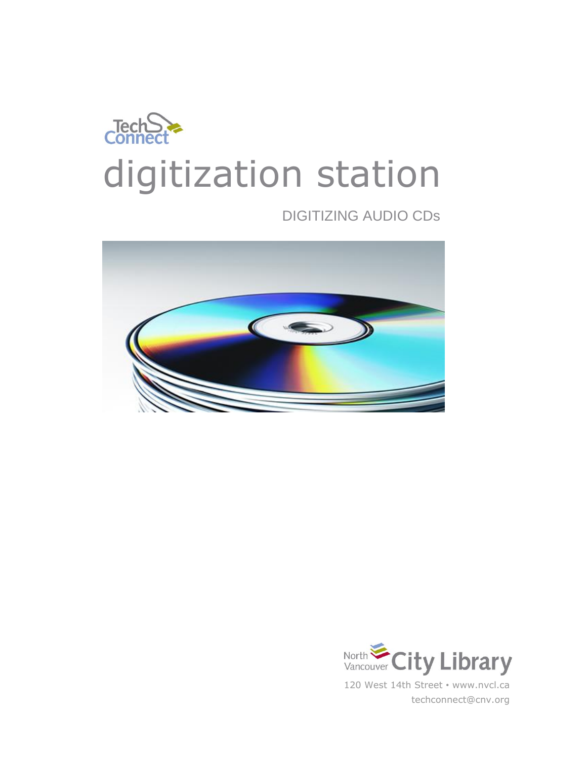

# DIGITIZING AUDIO CDs



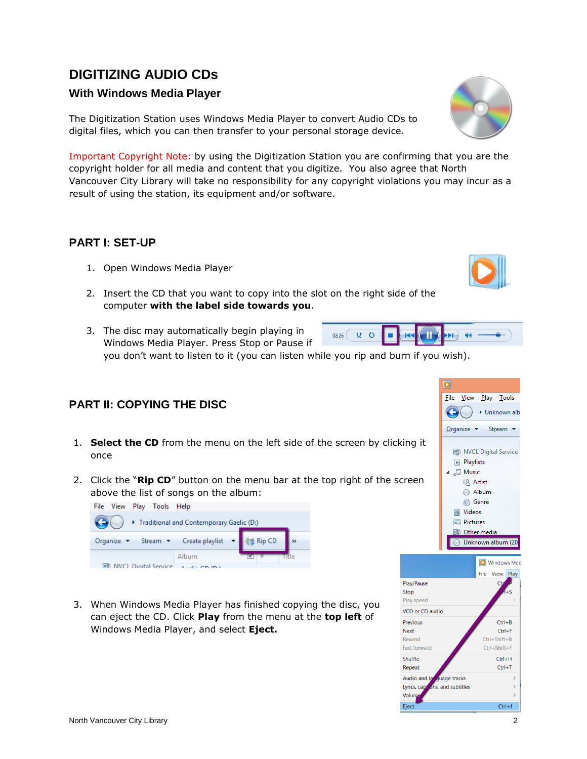# **DIGITIZING AUDIO CDs**

#### **With Windows Media Player**

The Digitization Station uses Windows Media Player to convert Audio CDs to digital files, which you can then transfer to your personal storage device.

Important Copyright Note: by using the Digitization Station you are confirming that you are the copyright holder for all media and content that you digitize. You also agree that North Vancouver City Library will take no responsibility for any copyright violations you may incur as a result of using the station, its equipment and/or software.

#### **PART I: SET-UP**

- 1. Open Windows Media Player
- 2. Insert the CD that you want to copy into the slot on the right side of the computer **with the label side towards you**.
- 3. The disc may automatically begin playing in Windows Media Player. Press Stop or Pause if you don't want to listen to it (you can listen while you rip and burn if you wish).

## **PART II: COPYING THE DISC**

- 1. **Select the CD** from the menu on the left side of the screen by clicking it once
- 2. Click the "**Rip CD**" button on the menu bar at the top right of the screen above the list of songs on the album:

| File View Play Tools Help |                                              |  |     |
|---------------------------|----------------------------------------------|--|-----|
|                           | Fraditional and Contemporary Gaelic (D:)     |  |     |
|                           | Organize v Stream v Create playlist v Rip CD |  |     |
|                           | Album                                        |  | ء ا |
|                           | NVCL Digital Service Assault on this         |  |     |

3. When Windows Media Player has finished copying the disc, you can eject the CD. Click **Play** from the menu at the **top left** of Windows Media Player, and select **Eject.**







|  |  | <b>X O B HS CII</b> | $\rightarrow$ |  |  |
|--|--|---------------------|---------------|--|--|
|  |  |                     |               |  |  |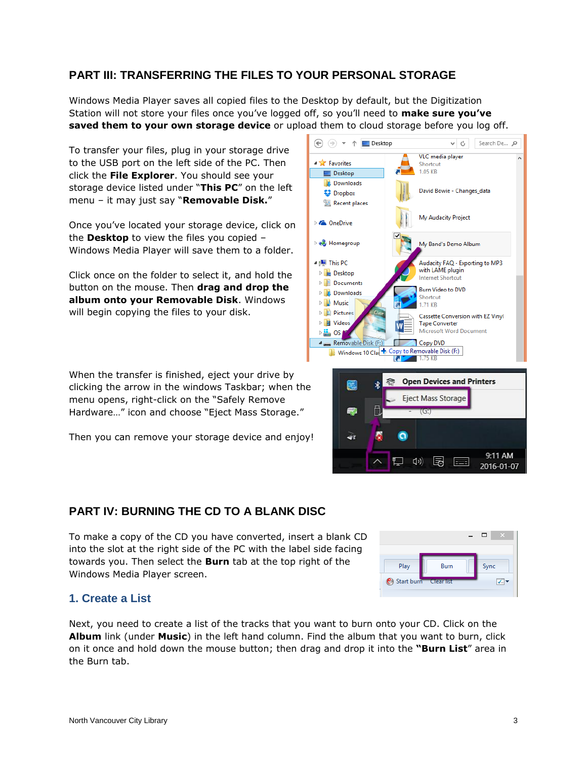## **PART III: TRANSFERRING THE FILES TO YOUR PERSONAL STORAGE**

Windows Media Player saves all copied files to the Desktop by default, but the Digitization Station will not store your files once you've logged off, so you'll need to **make sure you've saved them to your own storage device** or upload them to cloud storage before you log off.

To transfer your files, plug in your storage drive to the USB port on the left side of the PC. Then click the **File Explorer**. You should see your storage device listed under "**This PC**" on the left menu – it may just say "**Removable Disk.**"

Once you've located your storage device, click on the **Desktop** to view the files you copied – Windows Media Player will save them to a folder.

Click once on the folder to select it, and hold the button on the mouse. Then **drag and drop the album onto your Removable Disk**. Windows will begin copying the files to your disk.

When the transfer is finished, eject your drive by clicking the arrow in the windows Taskbar; when the menu opens, right-click on the "Safely Remove Hardware…" icon and choose "Eject Mass Storage."

Then you can remove your storage device and enjoy!

# **PART IV: BURNING THE CD TO A BLANK DISC**

To make a copy of the CD you have converted, insert a blank CD into the slot at the right side of the PC with the label side facing towards you. Then select the **Burn** tab at the top right of the Windows Media Player screen.

#### $\Box$   $\times$ Play **Rum** Sync Start burn  $\sqrt{2}$

#### **1. Create a List**

Next, you need to create a list of the tracks that you want to burn onto your CD. Click on the **Album** link (under **Music**) in the left hand column. Find the album that you want to burn, click on it once and hold down the mouse button; then drag and drop it into the **"Burn List**" area in the Burn tab.